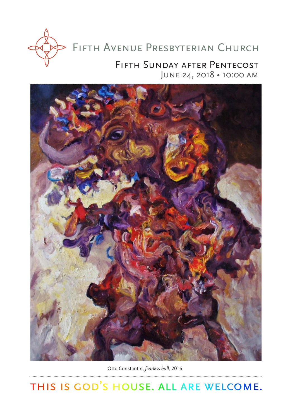

# Fifth Avenue Presbyterian Church

# Fifth Sunday after Pentecost June 24, 2018 • 10:00 am



Otto Constantin, *fearless bull,* 2016

THIS IS GOD'S HOUSE. ALL ARE WELCOME.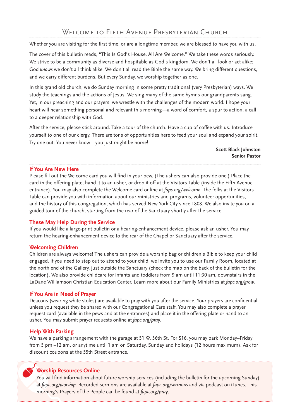Whether you are visiting for the first time, or are a longtime member, we are blessed to have you with us.

The cover of this bulletin reads, "This Is God's House. All Are Welcome." We take these words seriously. We strive to be a community as diverse and hospitable as God's kingdom. We don't all look or act alike; God *knows* we don't all think alike. We don't all read the Bible the same way. We bring different questions, and we carry different burdens. But every Sunday, we worship together as one.

In this grand old church, we do Sunday morning in some pretty traditional (very Presbyterian) ways. We study the teachings and the actions of Jesus. We sing many of the same hymns our grandparents sang. Yet, in our preaching and our prayers, we wrestle with the challenges of the modern world. I hope your heart will hear something personal and relevant this morning—a word of comfort, a spur to action, a call to a deeper relationship with God.

After the service, please stick around. Take a tour of the church. Have a cup of coffee with us. Introduce yourself to one of our clergy. There are tons of opportunities here to feed your soul and expand your spirit. Try one out. You never know—you just might be home!

> **Scott Black Johnston Senior Pastor**

#### **If You Are New Here**

Please fill out the Welcome card you will find in your pew. (The ushers can also provide one.) Place the card in the offering plate, hand it to an usher, or drop it off at the Visitors Table (inside the Fifth Avenue entrance). You may also complete the Welcome card online at *fapc.org/welcome*. The folks at the Visitors Table can provide you with information about our ministries and programs, volunteer opportunities, and the history of this congregation, which has served New York City since 1808. We also invite you on a guided tour of the church, starting from the rear of the Sanctuary shortly after the service.

#### **These May Help During the Service**

If you would like a large-print bulletin or a hearing-enhancement device, please ask an usher. You may return the hearing-enhancement device to the rear of the Chapel or Sanctuary after the service.

#### **Welcoming Children**

Children are always welcome! The ushers can provide a worship bag or children's Bible to keep your child engaged. If you need to step out to attend to your child, we invite you to use our Family Room, located at the north end of the Gallery, just outside the Sanctuary (check the map on the back of the bulletin for the location). We also provide childcare for infants and toddlers from 9 am until 11:30 am, downstairs in the LaDane Williamson Christian Education Center. Learn more about our Family Ministries at *fapc.org/grow.*

#### **If You Are in Need of Prayer**

Deacons (wearing white stoles) are available to pray with you after the service. Your prayers are confidential unless you request they be shared with our Congregational Care staff. You may also complete a prayer request card (available in the pews and at the entrances) and place it in the offering plate or hand to an usher. You may submit prayer requests online at *fapc.org/pray*.

#### **Help With Parking**

We have a parking arrangement with the garage at 51 W. 56th St. For \$16, you may park Monday–Friday from 5 pm –12 am, or anytime until 1 am on Saturday, Sunday and holidays (12 hours maximum). Ask for discount coupons at the 55th Street entrance.

#### **Worship Resources Online**

You will find information about future worship services (including the bulletin for the upcoming Sunday) at *fapc.org/worship.* Recorded sermons are available at *fapc.org/sermons* and via podcast on iTunes*.* This morning's Prayers of the People can be found at *fapc.org/pray*.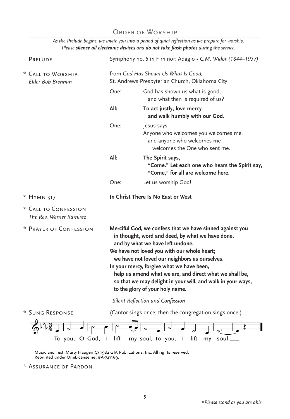# ORDER OF WORSHIP

*As the Prelude begins, we invite you into a period of quiet reflection as we prepare for worship. Please silence all electronic devices and do not take flash photos during the service.* 

| PRELUDE                                         | Symphony no. 5 in F minor: Adagio . C.M. Widor (1844-1937)                                                                                                                                                                                                                                                                                                                                                                                                 |                                                                                                                    |  |
|-------------------------------------------------|------------------------------------------------------------------------------------------------------------------------------------------------------------------------------------------------------------------------------------------------------------------------------------------------------------------------------------------------------------------------------------------------------------------------------------------------------------|--------------------------------------------------------------------------------------------------------------------|--|
| * CALL TO WORSHIP<br>Elder Bob Brennan          |                                                                                                                                                                                                                                                                                                                                                                                                                                                            | from God Has Shown Us What Is Good,<br>St. Andrews Presbyterian Church, Oklahoma City                              |  |
|                                                 | One:                                                                                                                                                                                                                                                                                                                                                                                                                                                       | God has shown us what is good,<br>and what then is required of us?                                                 |  |
|                                                 | All:                                                                                                                                                                                                                                                                                                                                                                                                                                                       | To act justly, love mercy<br>and walk humbly with our God.                                                         |  |
|                                                 | One:                                                                                                                                                                                                                                                                                                                                                                                                                                                       | Jesus says:<br>Anyone who welcomes you welcomes me,<br>and anyone who welcomes me<br>welcomes the One who sent me. |  |
|                                                 | All:                                                                                                                                                                                                                                                                                                                                                                                                                                                       | The Spirit says,<br>"Come." Let each one who hears the Spirit say,<br>"Come," for all are welcome here.            |  |
|                                                 | One:                                                                                                                                                                                                                                                                                                                                                                                                                                                       | Let us worship God!                                                                                                |  |
| * HYMN 317                                      | In Christ There Is No East or West                                                                                                                                                                                                                                                                                                                                                                                                                         |                                                                                                                    |  |
| * CALL TO CONFESSION<br>The Rev. Werner Ramirez |                                                                                                                                                                                                                                                                                                                                                                                                                                                            |                                                                                                                    |  |
| * Prayer of Confession                          | Merciful God, we confess that we have sinned against you<br>in thought, word and deed, by what we have done,<br>and by what we have left undone.<br>We have not loved you with our whole heart;<br>we have not loved our neighbors as ourselves.<br>In your mercy, forgive what we have been,<br>help us amend what we are, and direct what we shall be,<br>so that we may delight in your will, and walk in your ways,<br>to the glory of your holy name. |                                                                                                                    |  |
|                                                 |                                                                                                                                                                                                                                                                                                                                                                                                                                                            | Silent Reflection and Confession                                                                                   |  |
| * SUNG RESPONSE                                 |                                                                                                                                                                                                                                                                                                                                                                                                                                                            | (Cantor sings once; then the congregation sings once.)                                                             |  |
| O God,<br>To you,                               | lift<br>ı                                                                                                                                                                                                                                                                                                                                                                                                                                                  | lift<br>soul.<br>my soul, to you,<br>my                                                                            |  |

Music and Text: Marty Haugen © 1982 GIA Publications, Inc. All rights reserved.<br>Reprinted under OneLicense.net #A-721169.

\* Assurance of Pardon

. . . . . . . . . . . . . . . . . . .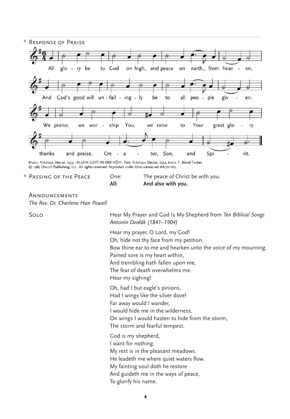

@ 1985 Church Publishing, Inc. All rights reserved. Reprinted under OneLicense.net #A-721169.

\* Passing of the Peace One: The peace of Christ be with you. **All: And also with you.**

Announcements *The Rev. Dr. Charlene Han Powell*

Solo Hear My Prayer and God Is My Shepherd from *Ten Biblical Songs Antonín Dvoˇrák (1841–1904)*

> Hear my prayer, O Lord, my God! Oh, hide not thy face from my petition. Bow thine ear to me and hearken unto the voice of my mourning. Pained sore is my heart within, And trembling hath fallen upon me, The fear of death overwhelms me. Hear my sighing! Oh, had I but eagle's pinions, Had I wings like the silver dove! Far away would I wander, I would hide me in the wilderness. On wings I would hasten to hide from the storm, The storm and fearful tempest. God is my shepherd, I want for nothing. My rest is in the pleasant meadows. He leadeth me where quiet waters flow. My fainting soul doth he restore And guideth me in the ways of peace, To glorify his name.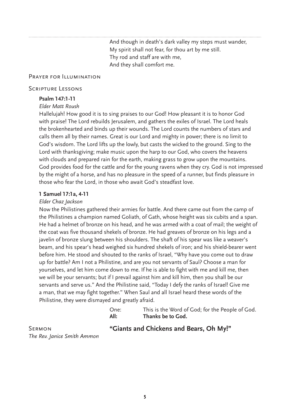And though in death's dark valley my steps must wander, My spirit shall not fear, for thou art by me still. Thy rod and staff are with me, And they shall comfort me.

#### Prayer for Illumination

#### Scripture Lessons

#### **Psalm 147:1-11**

#### *Elder Matt Roush*

Hallelujah! How good it is to sing praises to our God! How pleasant it is to honor God with praise! The Lord rebuilds Jerusalem, and gathers the exiles of Israel. The Lord heals the brokenhearted and binds up their wounds. The Lord counts the numbers of stars and calls them all by their names. Great is our Lord and mighty in power; there is no limit to God's wisdom. The Lord lifts up the lowly, but casts the wicked to the ground. Sing to the Lord with thanksgiving; make music upon the harp to our God, who covers the heavens with clouds and prepared rain for the earth, making grass to grow upon the mountains. God provides food for the cattle and for the young ravens when they cry. God is not impressed by the might of a horse, and has no pleasure in the speed of a runner, but finds pleasure in those who fear the Lord, in those who await God's steadfast love.

#### **1 Samuel 17:1a, 4-11**

#### *Elder Chaz Jackson*

Now the Philistines gathered their armies for battle. And there came out from the camp of the Philistines a champion named Goliath, of Gath, whose height was six cubits and a span. He had a helmet of bronze on his head, and he was armed with a coat of mail; the weight of the coat was five thousand shekels of bronze. He had greaves of bronze on his legs and a javelin of bronze slung between his shoulders. The shaft of his spear was like a weaver's beam, and his spear's head weighed six hundred shekels of iron; and his shield-bearer went before him. He stood and shouted to the ranks of Israel, "Why have you come out to draw up for battle? Am I not a Philistine, and are you not servants of Saul? Choose a man for yourselves, and let him come down to me. If he is able to fight with me and kill me, then we will be your servants; but if I prevail against him and kill him, then you shall be our servants and serve us." And the Philistine said, "Today I defy the ranks of Israel! Give me a man, that we may fight together." When Saul and all Israel heard these words of the Philistine, they were dismayed and greatly afraid.

| One: | This is the Word of God; for the People of God. |
|------|-------------------------------------------------|
| All: | Thanks be to God.                               |

Sermon *The Rev. Janice Smith Ammon*

#### **"Giants and Chickens and Bears, Oh My!"**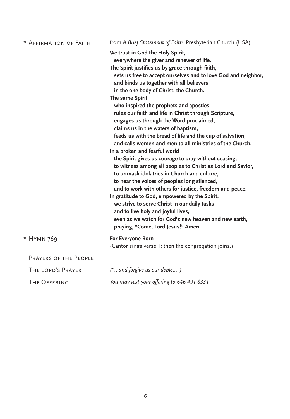| * AFFIRMATION OF FAITH | from A Brief Statement of Faith, Presbyterian Church (USA)                         |
|------------------------|------------------------------------------------------------------------------------|
|                        | We trust in God the Holy Spirit,<br>everywhere the giver and renewer of life.      |
|                        | The Spirit justifies us by grace through faith,                                    |
|                        | sets us free to accept ourselves and to love God and neighbor,                     |
|                        | and binds us together with all believers                                           |
|                        | in the one body of Christ, the Church.                                             |
|                        | The same Spirit                                                                    |
|                        | who inspired the prophets and apostles                                             |
|                        | rules our faith and life in Christ through Scripture,                              |
|                        | engages us through the Word proclaimed,<br>claims us in the waters of baptism,     |
|                        | feeds us with the bread of life and the cup of salvation,                          |
|                        | and calls women and men to all ministries of the Church.                           |
|                        | In a broken and fearful world                                                      |
|                        | the Spirit gives us courage to pray without ceasing,                               |
|                        | to witness among all peoples to Christ as Lord and Savior,                         |
|                        | to unmask idolatries in Church and culture,                                        |
|                        | to hear the voices of peoples long silenced,                                       |
|                        | and to work with others for justice, freedom and peace.                            |
|                        | In gratitude to God, empowered by the Spirit,                                      |
|                        | we strive to serve Christ in our daily tasks<br>and to live holy and joyful lives, |
|                        | even as we watch for God's new heaven and new earth,                               |
|                        | praying, "Come, Lord Jesus!" Amen.                                                 |
| * HYMN 769             | For Everyone Born                                                                  |
|                        | (Cantor sings verse 1; then the congregation joins.)                               |
| PRAYERS OF THE PEOPLE  |                                                                                    |
| THE LORD'S PRAYER      | ("and forgive us our debts")                                                       |
| THE OFFERING           | You may text your offering to 646.491.8331                                         |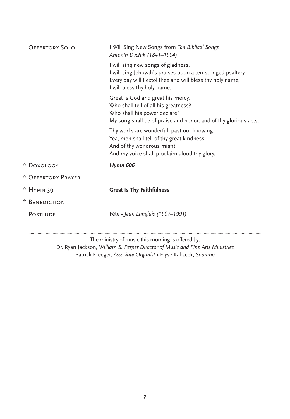| <b>OFFERTORY SOLO</b> | I Will Sing New Songs from Ten Biblical Songs<br>Antonín Dvořák (1841-1904)                                                                                                                   |
|-----------------------|-----------------------------------------------------------------------------------------------------------------------------------------------------------------------------------------------|
|                       | I will sing new songs of gladness,<br>I will sing Jehovah's praises upon a ten-stringed psaltery.<br>Every day will I extol thee and will bless thy holy name,<br>I will bless thy holy name. |
|                       | Great is God and great his mercy,<br>Who shall tell of all his greatness?<br>Who shall his power declare?<br>My song shall be of praise and honor, and of thy glorious acts.                  |
|                       | Thy works are wonderful, past our knowing.<br>Yea, men shall tell of thy great kindness<br>And of thy wondrous might,<br>And my voice shall proclaim aloud thy glory.                         |
| * Doxology            | <b>Hymn 606</b>                                                                                                                                                                               |
| * OFFERTORY PRAYER    |                                                                                                                                                                                               |
| * Нүмн 39             | <b>Great Is Thy Faithfulness</b>                                                                                                                                                              |
| * BENEDICTION         |                                                                                                                                                                                               |
| <b>POSTLUDE</b>       | Fête • Jean Langlais (1907-1991)                                                                                                                                                              |
|                       | The ministry of music this morning is offered by:                                                                                                                                             |

Dr. Ryan Jackson, *William S. Perper Director of Music and Fine Arts Ministries* Patrick Kreeger, *Associate Organist •* Elyse Kakacek, *Soprano*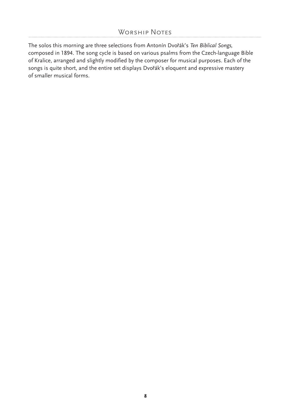# WORSHIP NOTES

The solos this morning are three selections from Antonín Dvořák's *Ten Biblical Songs*, composed in 1894. The song cycle is based on various psalms from the Czech-language Bible of Kralice, arranged and slightly modified by the composer for musical purposes. Each of the songs is quite short, and the entire set displays Dvořák's eloquent and expressive mastery of smaller musical forms.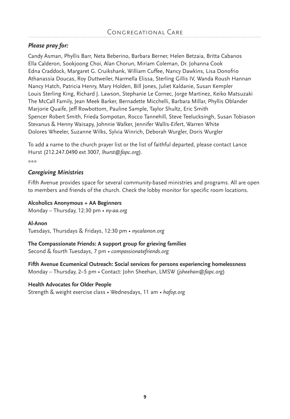## *Please pray for:*

Candy Asman, Phyllis Barr, Neta Beberino, Barbara Berner, Helen Betzaia, Britta Cabanos Ella Calderon, Sookjoong Choi, Alan Chorun, Miriam Coleman, Dr. Johanna Cook Edna Craddock, Margaret G. Cruikshank, William Cuffee, Nancy Dawkins, Lisa Donofrio Athanassia Doucas, Roy Duttweiler, Narmella Elissa, Sterling Gillis IV, Wanda Roush Hannan Nancy Hatch, Patricia Henry, Mary Holden, Bill Jones, Juliet Kaldanie, Susan Kempler Louis Sterling King, Richard J. Lawson, Stephanie Le Cornec, Jorge Martinez, Keiko Matsuzaki The McCall Family, Jean Meek Barker, Bernadette Micchelli, Barbara Millar, Phyllis Oblander Marjorie Quaife, Jeff Rowbottom, Pauline Sample, Taylor Shultz, Eric Smith Spencer Robert Smith, Frieda Sompotan, Rocco Tannehill, Steve Teelucksingh, Susan Tobiason Stevanus & Henny Waisapy, Johnnie Walker, Jennifer Wallis-Eifert, Warren White Dolores Wheeler, Suzanne Wilks, Sylvia Winrich, Deborah Wurgler, Doris Wurgler

To add a name to the church prayer list or the list of faithful departed, please contact Lance Hurst (212.247.0490 ext 3007, *lhurst@fapc.org*).

\*\*\*

#### *Caregiving Ministries*

Fifth Avenue provides space for several community-based ministries and programs. All are open to members and friends of the church. Check the lobby monitor for specific room locations.

#### **Alcoholics Anonymous + AA Beginners**

Monday – Thursday, 12:30 pm • *ny-aa.org*

**Al-Anon** Tuesdays, Thursdays & Fridays, 12:30 pm • *nycalanon.org*

#### **The Compassionate Friends: A support group for grieving families**

Second & fourth Tuesdays, 7 pm *• compassionatefriends.org*

**Fifth Avenue Ecumenical Outreach: Social services for persons experiencing homelessness** Monday – Thursday, 2–5 pm • Contact: John Sheehan, LMSW (*jsheehan@fapc.org*)

#### **Health Advocates for Older People**

Strength & weight exercise class • Wednesdays, 11 am • *hafop.org*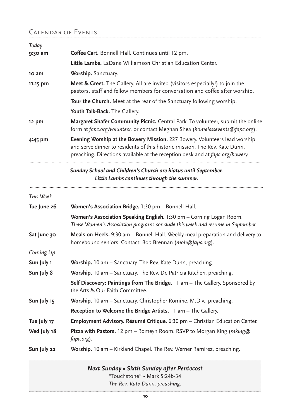# Calendar of Events

| Today       |                                                                                                                                                                                                                                            |  |  |
|-------------|--------------------------------------------------------------------------------------------------------------------------------------------------------------------------------------------------------------------------------------------|--|--|
| 9:30 am     | Coffee Cart. Bonnell Hall. Continues until 12 pm.                                                                                                                                                                                          |  |  |
|             | Little Lambs. LaDane Williamson Christian Education Center.                                                                                                                                                                                |  |  |
| 10 am       | Worship. Sanctuary.                                                                                                                                                                                                                        |  |  |
| 11:15 pm    | Meet & Greet. The Gallery. All are invited (visitors especially!) to join the<br>pastors, staff and fellow members for conversation and coffee after worship.                                                                              |  |  |
|             | Tour the Church. Meet at the rear of the Sanctuary following worship.                                                                                                                                                                      |  |  |
|             | Youth Talk-Back. The Gallery.                                                                                                                                                                                                              |  |  |
| 12 pm       | Margaret Shafer Community Picnic. Central Park. To volunteer, submit the online<br>form at fapc.org/volunteer, or contact Meghan Shea (homelessevents@fapc.org).                                                                           |  |  |
| 4:45 pm     | Evening Worship at the Bowery Mission. 227 Bowery. Volunteers lead worship<br>and serve dinner to residents of this historic mission. The Rev. Kate Dunn,<br>preaching. Directions available at the reception desk and at fapc.org/bowery. |  |  |
|             | Sunday School and Children's Church are hiatus until September.<br>Little Lambs continues through the summer.                                                                                                                              |  |  |
| This Week   |                                                                                                                                                                                                                                            |  |  |
| Tue June 26 | Women's Association Bridge. 1:30 pm - Bonnell Hall.                                                                                                                                                                                        |  |  |
|             | Women's Association Speaking English. 1:30 pm - Corning Logan Room.<br>These Women's Association programs conclude this week and resume in September.                                                                                      |  |  |
| Sat June 30 | Meals on Heels. 9:30 am - Bonnell Hall. Weekly meal preparation and delivery to<br>homebound seniors. Contact: Bob Brennan (moh@fapc.org).                                                                                                 |  |  |
| Coming Up   |                                                                                                                                                                                                                                            |  |  |
| Sun July 1  | Worship. 10 am - Sanctuary. The Rev. Kate Dunn, preaching.                                                                                                                                                                                 |  |  |
| Sun July 8  | Worship. 10 am - Sanctuary. The Rev. Dr. Patricia Kitchen, preaching.                                                                                                                                                                      |  |  |
|             | Self Discovery: Paintings from The Bridge. 11 am - The Gallery. Sponsored by<br>the Arts & Our Faith Committee.                                                                                                                            |  |  |
| Sun July 15 | Worship. 10 am - Sanctuary. Christopher Romine, M.Div., preaching.                                                                                                                                                                         |  |  |
|             | Reception to Welcome the Bridge Artists. 11 am - The Gallery.                                                                                                                                                                              |  |  |
| Tue July 17 | Employment Advisory. Résumé Critique. 6:30 pm - Christian Education Center.                                                                                                                                                                |  |  |
| Wed July 18 | Pizza with Pastors. 12 pm - Romeyn Room. RSVP to Morgan King (mking@<br>fapc.org).                                                                                                                                                         |  |  |
| Sun July 22 | Worship. 10 am - Kirkland Chapel. The Rev. Werner Ramirez, preaching.                                                                                                                                                                      |  |  |

*Next Sunday • Sixth Sunday after Pentecost* "Touchstone" • Mark 5:24b-34 *The Rev. Kate Dunn, preaching.*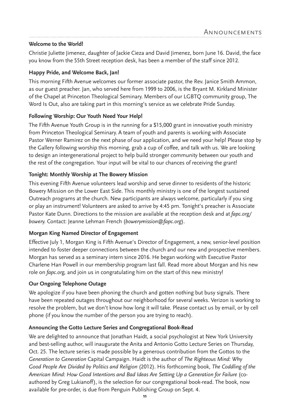#### **Welcome to the World!**

Christie Juliette Jimenez, daughter of Jackie Cieza and David Jimenez, born June 16. David, the face you know from the 55th Street reception desk, has been a member of the staff since 2012.

#### **Happy Pride, and Welcome Back, Jan!**

This morning Fifth Avenue welcomes our former associate pastor, the Rev. Janice Smith Ammon, as our guest preacher. Jan, who served here from 1999 to 2006, is the Bryant M. Kirkland Minister of the Chapel at Princeton Theological Seminary. Members of our LGBTQ community group, The Word Is Out, also are taking part in this morning's service as we celebrate Pride Sunday.

#### **Following Worship: Our Youth Need Your Help!**

The Fifth Avenue Youth Group is in the running for a \$15,000 grant in innovative youth ministry from Princeton Theological Seminary. A team of youth and parents is working with Associate Pastor Werner Ramirez on the next phase of our application, and we need your help! Please stop by the Gallery following worship this morning, grab a cup of coffee, and talk with us. We are looking to design an intergenerational project to help build stronger community between our youth and the rest of the congregation. Your input will be vital to our chances of receiving the grant!

#### **Tonight: Monthly Worship at The Bowery Mission**

This evening Fifth Avenue volunteers lead worship and serve dinner to residents of the historic Bowery Mission on the Lower East Side. This monthly ministry is one of the longest sustained Outreach programs at the church. New participants are always welcome, particularly if you sing or play an instrument! Volunteers are asked to arrive by 4:45 pm. Tonight's preacher is Associate Pastor Kate Dunn. Directions to the mission are available at the reception desk and at *fapc.org/ bowery.* Contact: Jeanne Lehman French (*bowerymission@fapc.org*).

#### **Morgan King Named Director of Engagement**

Effective July 1, Morgan King is Fifth Avenue's Director of Engagement, a new, senior-level position intended to foster deeper connections between the church and our new and prospective members. Morgan has served as a seminary intern since 2016. He began working with Executive Pastor Charlene Han Powell in our membership program last fall. Read more about Morgan and his new role on *fapc.org,* and join us in congratulating him on the start of this new ministry!

#### **Our Ongoing Telephone Outage**

We apologize if you have been phoning the church and gotten nothing but busy signals. There have been repeated outages throughout our neighborhood for several weeks. Verizon is working to resolve the problem, but we don't know how long it will take. Please contact us by email, or by cell phone (if you know the number of the person you are trying to reach).

#### **Announcing the Gotto Lecture Series and Congregational Book-Read**

We are delighted to announce that Jonathan Haidt, a social psychologist at New York University and best-selling author, will inaugurate the Anita and Antonio Gotto Lecture Series on Thursday, Oct. 25. The lecture series is made possible by a generous contribution from the Gottos to the *Generation to Generation* Capital Campaign. Haidt is the author of *The Righteous Mind: Why Good People Are Divided by Politics and Religion* (2012). His forthcoming book, *The Coddling of the*  American Mind: How Good Intentions and Bad Ideas Are Setting Up a Generation for Failure (coauthored by Greg Lukianoff), is the selection for our congregational book-read. The book, now available for pre-order, is due from Penguin Publishing Group on Sept. 4.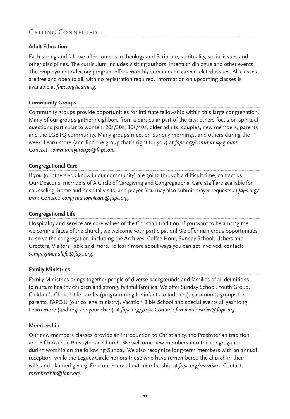# Getting Connected

#### **Adult Education**

Each spring and fall, we offer courses in theology and Scripture, spirituality, social issues and other disciplines. The curriculum includes visiting authors, interfaith dialogue and other events. The Employment Advisory program offers monthly seminars on career-related issues. All classes are free and open to all, with no registration required. Information on upcoming classes is available at *fapc.org/learning*.

#### **Community Groups**

Community groups provide opportunities for intimate fellowship within this large congregation. Many of our groups gather neighbors from a particular part of the city; others focus on spiritual questions particular to women, 20s/30s, 30s/40s, older adults, couples, new members, parents and the LGBTQ community. Many groups meet on Sunday mornings, and others during the week. Learn more (and find the group that's right for you) at *fapc.org/community-groups.* Contact: *communitygroups@fapc.org.*

#### **Congregational Care**

If you (or others you know in our community) are going through a difficult time, contact us. Our Deacons, members of A Circle of Caregiving and Congregational Care staff are available for counseling, home and hospital visits, and prayer. You may also submit prayer requests at *fapc.org/ pray.* Contact: c*ongregationalcare@fapc.org.*

#### **Congregational Life**

Hospitality and service are core values of the Christian tradition. If you want to be among the welcoming faces of the church, we welcome your participation! We offer numerous opportunities to serve the congregation, including the Archives, Coffee Hour, Sunday School, Ushers and Greeters, Visitors Table and more. To learn more about ways you can get involved, contact: *congregationallife@fapc.org*.

#### **Family Ministries**

Family Ministries brings together people of diverse backgrounds and families of all definitions to nurture healthy children and strong, faithful families. We offer Sunday School, Youth Group, Children's Choir, Little Lambs (programming for infants to toddlers), community groups for parents, FAPC-U (our college ministry), Vacation Bible School and special events all year long. Learn more (and register your child) at *fapc.org/grow.* Contact: *familyministries@fapc.org.*

#### **Membership**

Our new members classes provide an introduction to Christianity, the Presbyterian tradition and Fifth Avenue Presbyterian Church. We welcome new members into the congregation during worship on the following Sunday. We also recognize long-term members with an annual reception, while the Legacy Circle honors those who have remembered the church in their wills and planned giving. Find out more about membership at *fapc.org/members.* Contact: *membership@fapc.org.*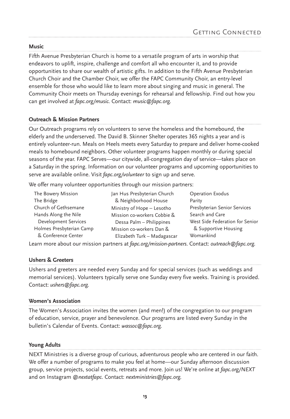#### **Music**

Fifth Avenue Presbyterian Church is home to a versatile program of arts in worship that endeavors to uplift, inspire, challenge and comfort all who encounter it, and to provide opportunities to share our wealth of artistic gifts. In addition to the Fifth Avenue Presbyterian Church Choir and the Chamber Choir, we offer the FAPC Community Choir, an entry-level ensemble for those who would like to learn more about singing and music in general. The Community Choir meets on Thursday evenings for rehearsal and fellowship. Find out how you can get involved at *fapc.org/music.* Contact: *music@fapc.org.*

#### **Outreach & Mission Partners**

Our Outreach programs rely on volunteers to serve the homeless and the homebound, the elderly and the underserved. The David B. Skinner Shelter operates 365 nights a year and is entirely volunteer-run. Meals on Heels meets every Saturday to prepare and deliver home-cooked meals to homebound neighbors. Other volunteer programs happen monthly or during special seasons of the year. FAPC Serves—our citywide, all-congregation day of service—takes place on a Saturday in the spring. Information on our volunteer programs and upcoming opportunities to serve are available online. Visit *fapc.org/volunteer* to sign up and serve.

We offer many volunteer opportunities through our mission partners:

| Operation Exodus                                                                                                                                                                                        |
|---------------------------------------------------------------------------------------------------------------------------------------------------------------------------------------------------------|
| Parity                                                                                                                                                                                                  |
| Presbyterian Senior Services                                                                                                                                                                            |
| Search and Care                                                                                                                                                                                         |
| West Side Federation for Senior                                                                                                                                                                         |
| & Supportive Housing                                                                                                                                                                                    |
| Womankind                                                                                                                                                                                               |
| Jan Hus Presbyterian Church<br>& Neighborhood House<br>Ministry of Hope - Lesotho<br>Mission co-workers Cobbie &<br>Dessa Palm - Philippines<br>Mission co-workers Dan &<br>Elizabeth Turk - Madagascar |

Learn more about our mission partners at *fapc.org/mission-partners*. Contact: *outreach@fapc.org.*

#### **Ushers & Greeters**

Ushers and greeters are needed every Sunday and for special services (such as weddings and memorial services). Volunteers typically serve one Sunday every five weeks. Training is provided. Contact: *ushers@fapc.org.*

#### **Women's Association**

The Women's Association invites the women (and men!) of the congregation to our program of education, service, prayer and benevolence. Our programs are listed every Sunday in the bulletin's Calendar of Events. Contact: *wassoc@fapc.org.*

#### **Young Adults**

NEXT Ministries is a diverse group of curious, adventurous people who are centered in our faith. We offer a number of programs to make you feel at home—our Sunday afternoon discussion group, service projects, social events, retreats and more. Join us! We're online at *fapc.org/NEXT* and on Instagram *@nextatfapc.* Contact: *nextministries@fapc.org.*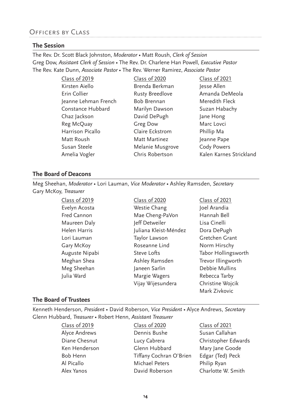# Officers by Class

#### **The Session**

The Rev. Dr. Scott Black Johnston, *Moderator* • Matt Roush, *Clerk of Session* Greg Dow, *Assistant Clerk of Session* • The Rev. Dr. Charlene Han Powell, *Executive Pastor* The Rev. Kate Dunn, *Associate Pastor •* The Rev. Werner Ramirez, *Associate Pastor*

| Class of 2019        | Class of 2020          | Class of 2021           |
|----------------------|------------------------|-------------------------|
| Kirsten Aiello       | Brenda Berkman         | Jesse Allen             |
| Erin Collier         | <b>Rusty Breedlove</b> | Amanda DeMeola          |
| Jeanne Lehman French | Bob Brennan            | Meredith Fleck          |
| Constance Hubbard    | Marilyn Dawson         | Suzan Habachy           |
| Chaz Jackson         | David DePugh           | Jane Hong               |
| Reg McQuay           | Greg Dow               | Marc Lovci              |
| Harrison Picallo     | Claire Eckstrom        | Phillip Ma              |
| Matt Roush           | Matt Martinez          | Jeanne Pape             |
| Susan Steele         | Melanie Musgrove       | <b>Cody Powers</b>      |
| Amelia Vogler        | Chris Robertson        | Kalen Karnes Strickland |

#### **The Board of Deacons**

Meg Sheehan, *Moderator* • Lori Lauman, *Vice Moderator* • Ashley Ramsden, *Secretary* Gary McKoy, *Treasurer*

> Class of 2019 Evelyn Acosta Fred Cannon Maureen Daly Helen Harris Lori Lauman Gary McKoy Auguste Nipabi Meghan Shea Meg Sheehan Julia Ward

- Class of 2020 Westie Chang Mae Cheng-PaVon Jeff Detweiler Juliana Kleist-Méndez Taylor Lawson Roseanne Lind Steve Lofts Ashley Ramsden Janeen Sarlin Margie Wagers Vijay Wijesundera
- Class of 2021 Joel Arandia Hannah Bell Lisa Cinelli Dora DePugh Gretchen Grant Norm Hirschy Tabor Hollingsworth Trevor Illingworth Debbie Mullins Rebecca Tarby Christine Wojcik Mark Zivkovic

#### **The Board of Trustees**

Kenneth Henderson, *President* • David Roberson, *Vice President •* Alyce Andrews, *Secretary* Glenn Hubbard, *Treasurer •* Robert Henn, *Assistant Treasurer*

Class of 2020

Class of 2019 Alyce Andrews Diane Chesnut Ken Henderson Bob Henn Al Picallo Alex Yanos

Dennis Bushe Lucy Cabrera Glenn Hubbard Tiffany Cochran O'Brien Michael Peters David Roberson

Class of 2021 Susan Callahan Christopher Edwards Mary Jane Goode Edgar (Ted) Peck Philip Ryan Charlotte W. Smith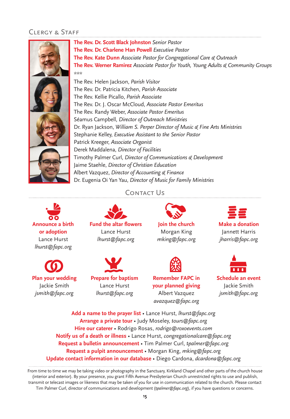# Clergy & Staff





**Plan your wedding**  Jackie Smith

*jsmith@fapc.org*

## Contact Us



**Fund the altar flowers**  Lance Hurst *lhurst@fapc.org*



Lance Hurst *lhurst@fapc.org*



**Join the church** Morgan King



**Make a donation**  Jannett Harris *jharris@fapc.org*



**Schedule an event** Jackie Smith *jsmith@fapc.org*

**Add a name to the prayer list** • Lance Hurst, *lhurst@fapc.org* **Arrange a private tour** • Judy Moseley, *tours@fapc.org*  **Hire our caterer** • Rodrigo Rosas, *rodrigo@roxoevents.com* **Notify us of a death or illness** • Lance Hurst, *congregationalcare@fapc.org* **Request a bulletin announcement** • Tim Palmer Curl, *tpalmer@fapc.org* **Request a pulpit announcement** • Morgan King, *mking@fapc.org* **Update contact information in our database** *•* Diego Cardona, *dcardona@fapc.org*

From time to time we may be taking video or photography in the Sanctuary, Kirkland Chapel and other parts of the church house (interior and exterior). By your presence, you grant Fifth Avenue Presbyterian Church unrestricted rights to use and publish, transmit or telecast images or likeness that may be taken of you for use in communication related to the church. Please contact Tim Palmer Curl, director of communications and development (*tpalmer@fapc.org*), if you have questions or concerns.